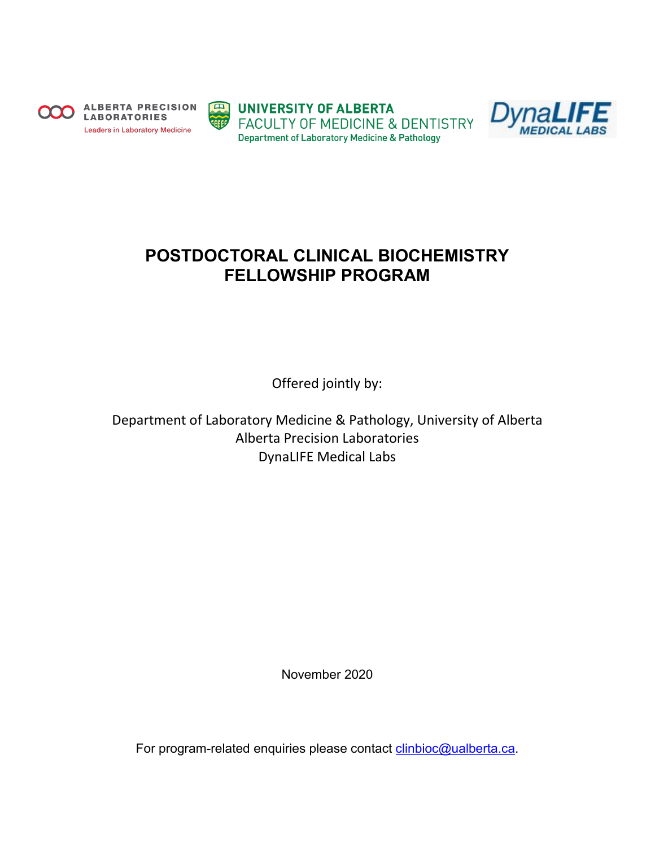

**ALBERTA PRECISION LABORATORIES Leaders in Laboratory Medicine** 



**ED UNIVERSITY OF ALBERTA FACULTY OF MEDICINE & DENTISTRY Department of Laboratory Medicine & Pathology** 



# **POSTDOCTORAL CLINICAL BIOCHEMISTRY FELLOWSHIP PROGRAM**

Offered jointly by:

Department of Laboratory Medicine & Pathology, University of Alberta Alberta Precision Laboratories DynaLIFE Medical Labs

November 2020

For program-related enquiries please contact [clinbioc@ualberta.ca.](mailto:clinbioc@ualberta.ca)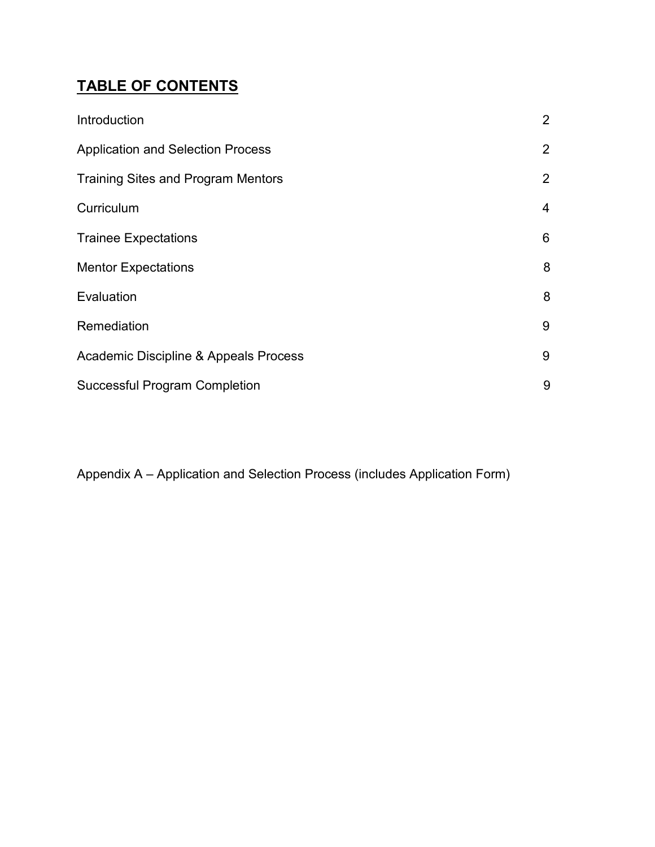# **TABLE OF CONTENTS**

| Introduction                              | $\overline{2}$ |
|-------------------------------------------|----------------|
| <b>Application and Selection Process</b>  | $\overline{2}$ |
| <b>Training Sites and Program Mentors</b> | $\overline{2}$ |
| Curriculum                                | $\overline{4}$ |
| <b>Trainee Expectations</b>               | 6              |
| <b>Mentor Expectations</b>                | 8              |
| Evaluation                                | 8              |
| Remediation                               | 9              |
| Academic Discipline & Appeals Process     | 9              |
| <b>Successful Program Completion</b>      | 9              |

Appendix A – Application and Selection Process (includes Application Form)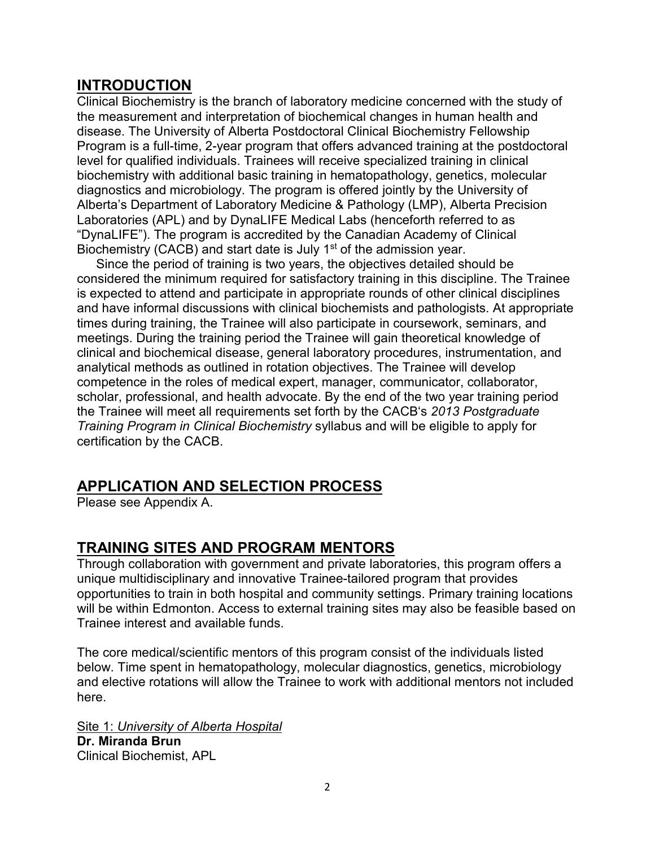# **INTRODUCTION**

Clinical Biochemistry is the branch of laboratory medicine concerned with the study of the measurement and interpretation of biochemical changes in human health and disease. The University of Alberta Postdoctoral Clinical Biochemistry Fellowship Program is a full-time, 2-year program that offers advanced training at the postdoctoral level for qualified individuals. Trainees will receive specialized training in clinical biochemistry with additional basic training in hematopathology, genetics, molecular diagnostics and microbiology. The program is offered jointly by the University of Alberta's Department of Laboratory Medicine & Pathology (LMP), Alberta Precision Laboratories (APL) and by DynaLIFE Medical Labs (henceforth referred to as "DynaLIFE"). The program is accredited by the Canadian Academy of Clinical Biochemistry (CACB) and start date is July 1<sup>st</sup> of the admission year.

Since the period of training is two years, the objectives detailed should be considered the minimum required for satisfactory training in this discipline. The Trainee is expected to attend and participate in appropriate rounds of other clinical disciplines and have informal discussions with clinical biochemists and pathologists. At appropriate times during training, the Trainee will also participate in coursework, seminars, and meetings. During the training period the Trainee will gain theoretical knowledge of clinical and biochemical disease, general laboratory procedures, instrumentation, and analytical methods as outlined in rotation objectives. The Trainee will develop competence in the roles of medical expert, manager, communicator, collaborator, scholar, professional, and health advocate. By the end of the two year training period the Trainee will meet all requirements set forth by the CACB's *2013 Postgraduate Training Program in Clinical Biochemistry* syllabus and will be eligible to apply for certification by the CACB.

# **APPLICATION AND SELECTION PROCESS**

Please see Appendix A.

# **TRAINING SITES AND PROGRAM MENTORS**

Through collaboration with government and private laboratories, this program offers a unique multidisciplinary and innovative Trainee-tailored program that provides opportunities to train in both hospital and community settings. Primary training locations will be within Edmonton. Access to external training sites may also be feasible based on Trainee interest and available funds.

The core medical/scientific mentors of this program consist of the individuals listed below. Time spent in hematopathology, molecular diagnostics, genetics, microbiology and elective rotations will allow the Trainee to work with additional mentors not included here.

Site 1: *University of Alberta Hospital* **Dr. Miranda Brun** Clinical Biochemist, APL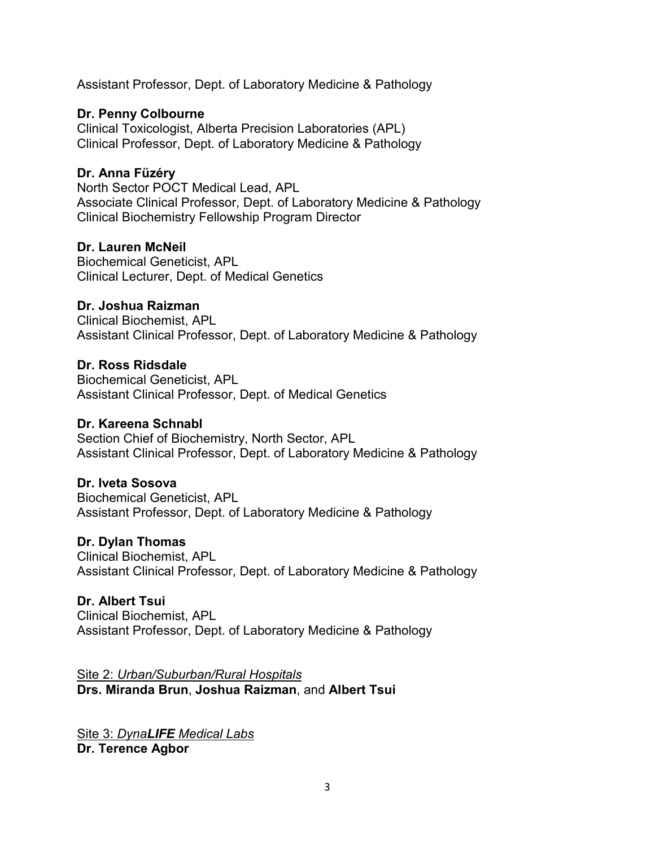Assistant Professor, Dept. of Laboratory Medicine & Pathology

## **Dr. Penny Colbourne**

Clinical Toxicologist, Alberta Precision Laboratories (APL) Clinical Professor, Dept. of Laboratory Medicine & Pathology

# **Dr. Anna Füzéry**

North Sector POCT Medical Lead, APL Associate Clinical Professor, Dept. of Laboratory Medicine & Pathology Clinical Biochemistry Fellowship Program Director

### **Dr. Lauren McNeil**

Biochemical Geneticist, APL Clinical Lecturer, Dept. of Medical Genetics

## **Dr. Joshua Raizman**

Clinical Biochemist, APL Assistant Clinical Professor, Dept. of Laboratory Medicine & Pathology

## **Dr. Ross Ridsdale**

Biochemical Geneticist, APL Assistant Clinical Professor, Dept. of Medical Genetics

### **Dr. Kareena Schnabl**

Section Chief of Biochemistry, North Sector, APL Assistant Clinical Professor, Dept. of Laboratory Medicine & Pathology

### **Dr. Iveta Sosova**

Biochemical Geneticist, APL Assistant Professor, Dept. of Laboratory Medicine & Pathology

### **Dr. Dylan Thomas**

Clinical Biochemist, APL Assistant Clinical Professor, Dept. of Laboratory Medicine & Pathology

### **Dr. Albert Tsui**

Clinical Biochemist, APL Assistant Professor, Dept. of Laboratory Medicine & Pathology

Site 2: *Urban/Suburban/Rural Hospitals* **Drs. Miranda Brun**, **Joshua Raizman**, and **Albert Tsui**

Site 3: *DynaLIFE Medical Labs* **Dr. Terence Agbor**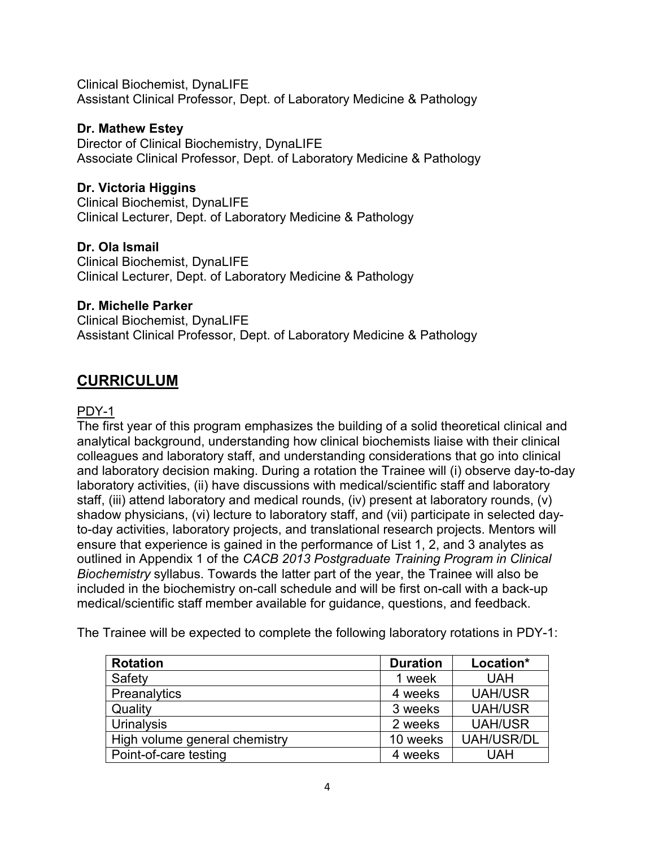Clinical Biochemist, DynaLIFE Assistant Clinical Professor, Dept. of Laboratory Medicine & Pathology

# **Dr. Mathew Estey**

Director of Clinical Biochemistry, DynaLIFE Associate Clinical Professor, Dept. of Laboratory Medicine & Pathology

## **Dr. Victoria Higgins**

Clinical Biochemist, DynaLIFE Clinical Lecturer, Dept. of Laboratory Medicine & Pathology

## **Dr. Ola Ismail**

Clinical Biochemist, DynaLIFE Clinical Lecturer, Dept. of Laboratory Medicine & Pathology

## **Dr. Michelle Parker**

Clinical Biochemist, DynaLIFE Assistant Clinical Professor, Dept. of Laboratory Medicine & Pathology

# **CURRICULUM**

## PDY-1

The first year of this program emphasizes the building of a solid theoretical clinical and analytical background, understanding how clinical biochemists liaise with their clinical colleagues and laboratory staff, and understanding considerations that go into clinical and laboratory decision making. During a rotation the Trainee will (i) observe day-to-day laboratory activities, (ii) have discussions with medical/scientific staff and laboratory staff, (iii) attend laboratory and medical rounds, (iv) present at laboratory rounds, (v) shadow physicians, (vi) lecture to laboratory staff, and (vii) participate in selected dayto-day activities, laboratory projects, and translational research projects. Mentors will ensure that experience is gained in the performance of List 1, 2, and 3 analytes as outlined in Appendix 1 of the *CACB 2013 Postgraduate Training Program in Clinical Biochemistry* syllabus. Towards the latter part of the year, the Trainee will also be included in the biochemistry on-call schedule and will be first on-call with a back-up medical/scientific staff member available for guidance, questions, and feedback.

The Trainee will be expected to complete the following laboratory rotations in PDY-1:

| <b>Rotation</b>               | <b>Duration</b> | Location*         |
|-------------------------------|-----------------|-------------------|
| Safety                        | 1 week          | <b>UAH</b>        |
| Preanalytics                  | 4 weeks         | <b>UAH/USR</b>    |
| Quality                       | 3 weeks         | <b>UAH/USR</b>    |
| Urinalysis                    | 2 weeks         | <b>UAH/USR</b>    |
| High volume general chemistry | 10 weeks        | <b>UAH/USR/DL</b> |
| Point-of-care testing         | 4 weeks         | <b>UAH</b>        |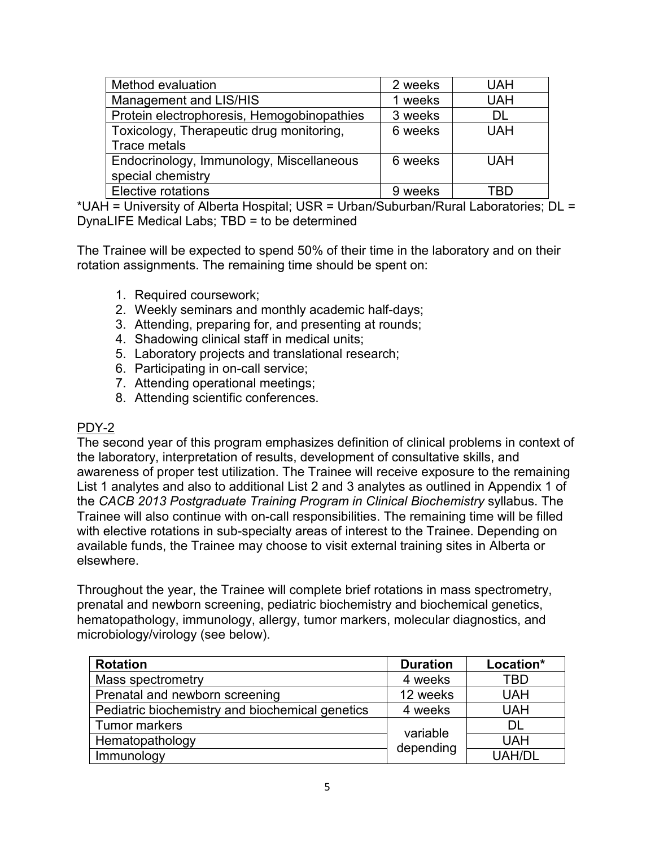| Method evaluation                          | 2 weeks | <b>UAH</b> |
|--------------------------------------------|---------|------------|
| Management and LIS/HIS                     | 1 weeks | <b>UAH</b> |
| Protein electrophoresis, Hemogobinopathies | 3 weeks | DI.        |
| Toxicology, Therapeutic drug monitoring,   | 6 weeks | <b>UAH</b> |
| Trace metals                               |         |            |
| Endocrinology, Immunology, Miscellaneous   | 6 weeks | <b>UAH</b> |
| special chemistry                          |         |            |
| <b>Elective rotations</b>                  | 9 weeks | TRD        |

\*UAH = University of Alberta Hospital; USR = Urban/Suburban/Rural Laboratories; DL = DynaLIFE Medical Labs; TBD = to be determined

The Trainee will be expected to spend 50% of their time in the laboratory and on their rotation assignments. The remaining time should be spent on:

- 1. Required coursework;
- 2. Weekly seminars and monthly academic half-days;
- 3. Attending, preparing for, and presenting at rounds;
- 4. Shadowing clinical staff in medical units;
- 5. Laboratory projects and translational research;
- 6. Participating in on-call service;
- 7. Attending operational meetings;
- 8. Attending scientific conferences.

# PDY-2

The second year of this program emphasizes definition of clinical problems in context of the laboratory, interpretation of results, development of consultative skills, and awareness of proper test utilization. The Trainee will receive exposure to the remaining List 1 analytes and also to additional List 2 and 3 analytes as outlined in Appendix 1 of the *CACB 2013 Postgraduate Training Program in Clinical Biochemistry* syllabus. The Trainee will also continue with on-call responsibilities. The remaining time will be filled with elective rotations in sub-specialty areas of interest to the Trainee. Depending on available funds, the Trainee may choose to visit external training sites in Alberta or elsewhere.

Throughout the year, the Trainee will complete brief rotations in mass spectrometry, prenatal and newborn screening, pediatric biochemistry and biochemical genetics, hematopathology, immunology, allergy, tumor markers, molecular diagnostics, and microbiology/virology (see below).

| <b>Rotation</b>                                 | <b>Duration</b>       | Location*     |
|-------------------------------------------------|-----------------------|---------------|
| Mass spectrometry                               | 4 weeks               | TBD           |
| Prenatal and newborn screening                  | 12 weeks              | <b>UAH</b>    |
| Pediatric biochemistry and biochemical genetics | 4 weeks               | <b>UAH</b>    |
| Tumor markers                                   | variable<br>depending | DL            |
| Hematopathology                                 |                       | <b>UAH</b>    |
| Immunology                                      |                       | <b>UAH/DL</b> |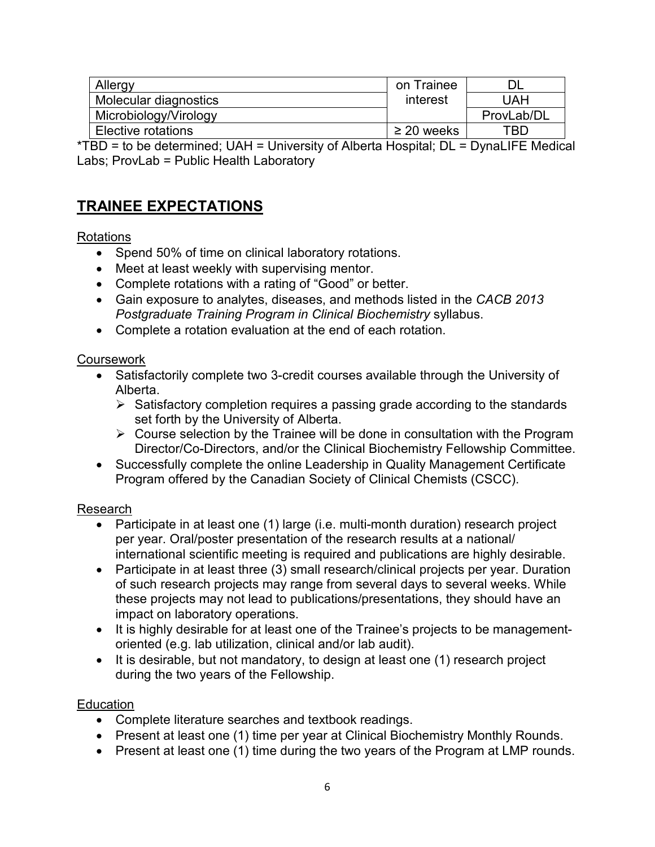| Allergy                   | on Trainee      |            |
|---------------------------|-----------------|------------|
| Molecular diagnostics     | interest        | UAH        |
| Microbiology/Virology     |                 | ProvLab/DL |
| <b>Elective rotations</b> | $\geq$ 20 weeks | TBD        |

\*TBD = to be determined; UAH = University of Alberta Hospital; DL = DynaLIFE Medical Labs; ProvLab = Public Health Laboratory

# **TRAINEE EXPECTATIONS**

# Rotations

- Spend 50% of time on clinical laboratory rotations.
- Meet at least weekly with supervising mentor.
- Complete rotations with a rating of "Good" or better.
- Gain exposure to analytes, diseases, and methods listed in the *CACB 2013 Postgraduate Training Program in Clinical Biochemistry* syllabus.
- Complete a rotation evaluation at the end of each rotation.

### **Coursework**

- Satisfactorily complete two 3-credit courses available through the University of Alberta.
	- $\triangleright$  Satisfactory completion requires a passing grade according to the standards set forth by the University of Alberta.
	- $\triangleright$  Course selection by the Trainee will be done in consultation with the Program Director/Co-Directors, and/or the Clinical Biochemistry Fellowship Committee.
- Successfully complete the online Leadership in Quality Management Certificate Program offered by the Canadian Society of Clinical Chemists (CSCC).

# Research

- Participate in at least one (1) large (i.e. multi-month duration) research project per year. Oral/poster presentation of the research results at a national/ international scientific meeting is required and publications are highly desirable.
- Participate in at least three (3) small research/clinical projects per year. Duration of such research projects may range from several days to several weeks. While these projects may not lead to publications/presentations, they should have an impact on laboratory operations.
- It is highly desirable for at least one of the Trainee's projects to be managementoriented (e.g. lab utilization, clinical and/or lab audit).
- It is desirable, but not mandatory, to design at least one (1) research project during the two years of the Fellowship.

### Education

- Complete literature searches and textbook readings.
- Present at least one (1) time per year at Clinical Biochemistry Monthly Rounds.
- Present at least one (1) time during the two years of the Program at LMP rounds.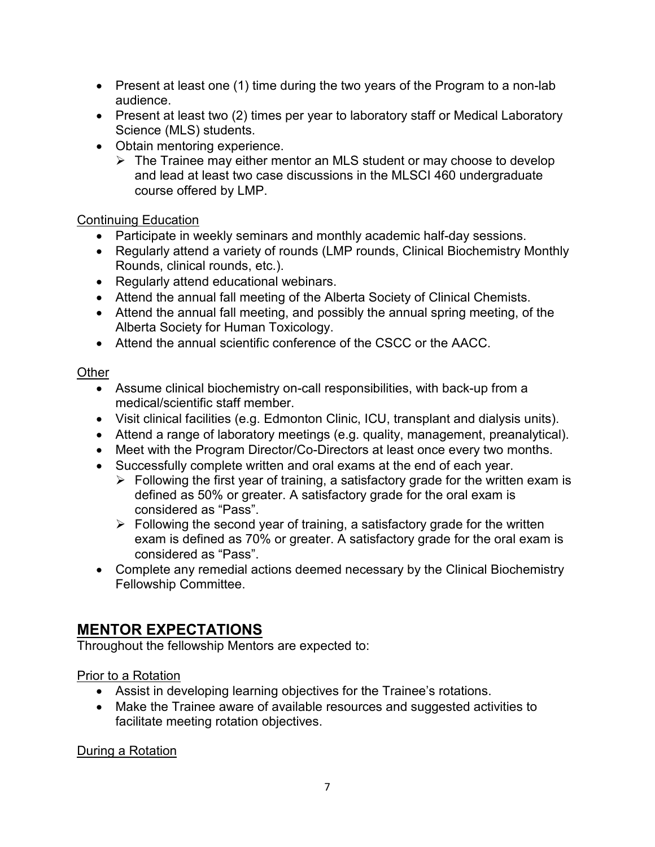- Present at least one (1) time during the two years of the Program to a non-lab audience.
- Present at least two (2) times per year to laboratory staff or Medical Laboratory Science (MLS) students.
- Obtain mentoring experience.
	- $\triangleright$  The Trainee may either mentor an MLS student or may choose to develop and lead at least two case discussions in the MLSCI 460 undergraduate course offered by LMP.

# Continuing Education

- Participate in weekly seminars and monthly academic half-day sessions.
- Regularly attend a variety of rounds (LMP rounds, Clinical Biochemistry Monthly Rounds, clinical rounds, etc.).
- Regularly attend educational webinars.
- Attend the annual fall meeting of the Alberta Society of Clinical Chemists.
- Attend the annual fall meeting, and possibly the annual spring meeting, of the Alberta Society for Human Toxicology.
- Attend the annual scientific conference of the CSCC or the AACC.

# **Other**

- Assume clinical biochemistry on-call responsibilities, with back-up from a medical/scientific staff member.
- Visit clinical facilities (e.g. Edmonton Clinic, ICU, transplant and dialysis units).
- Attend a range of laboratory meetings (e.g. quality, management, preanalytical).
- Meet with the Program Director/Co-Directors at least once every two months.
- Successfully complete written and oral exams at the end of each year.
	- $\triangleright$  Following the first year of training, a satisfactory grade for the written exam is defined as 50% or greater. A satisfactory grade for the oral exam is considered as "Pass".
	- $\triangleright$  Following the second year of training, a satisfactory grade for the written exam is defined as 70% or greater. A satisfactory grade for the oral exam is considered as "Pass".
- Complete any remedial actions deemed necessary by the Clinical Biochemistry Fellowship Committee.

# **MENTOR EXPECTATIONS**

Throughout the fellowship Mentors are expected to:

# Prior to a Rotation

- Assist in developing learning objectives for the Trainee's rotations.
- Make the Trainee aware of available resources and suggested activities to facilitate meeting rotation objectives.

During a Rotation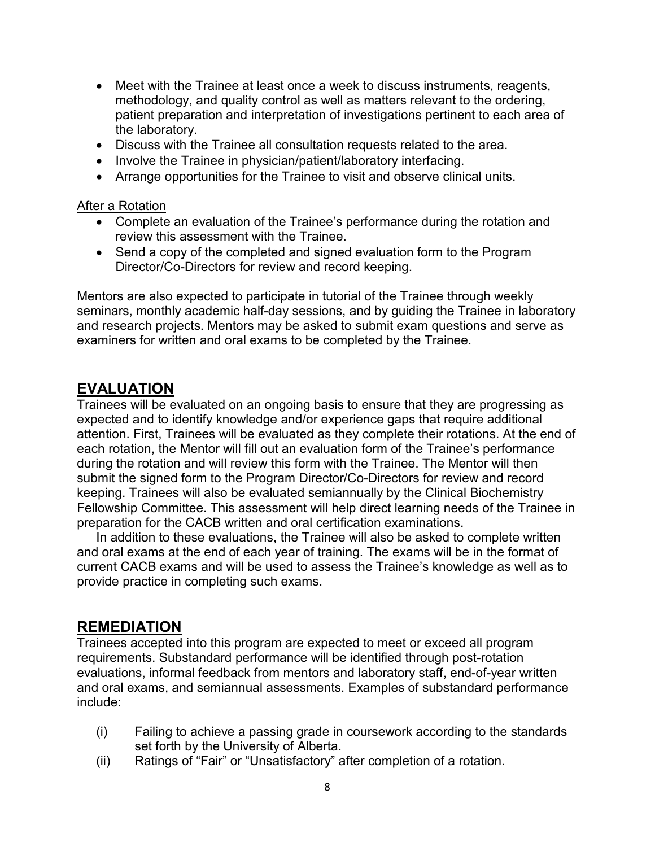- Meet with the Trainee at least once a week to discuss instruments, reagents, methodology, and quality control as well as matters relevant to the ordering, patient preparation and interpretation of investigations pertinent to each area of the laboratory.
- Discuss with the Trainee all consultation requests related to the area.
- Involve the Trainee in physician/patient/laboratory interfacing.
- Arrange opportunities for the Trainee to visit and observe clinical units.

#### After a Rotation

- Complete an evaluation of the Trainee's performance during the rotation and review this assessment with the Trainee.
- Send a copy of the completed and signed evaluation form to the Program Director/Co-Directors for review and record keeping.

Mentors are also expected to participate in tutorial of the Trainee through weekly seminars, monthly academic half-day sessions, and by guiding the Trainee in laboratory and research projects. Mentors may be asked to submit exam questions and serve as examiners for written and oral exams to be completed by the Trainee.

# **EVALUATION**

Trainees will be evaluated on an ongoing basis to ensure that they are progressing as expected and to identify knowledge and/or experience gaps that require additional attention. First, Trainees will be evaluated as they complete their rotations. At the end of each rotation, the Mentor will fill out an evaluation form of the Trainee's performance during the rotation and will review this form with the Trainee. The Mentor will then submit the signed form to the Program Director/Co-Directors for review and record keeping. Trainees will also be evaluated semiannually by the Clinical Biochemistry Fellowship Committee. This assessment will help direct learning needs of the Trainee in preparation for the CACB written and oral certification examinations.

In addition to these evaluations, the Trainee will also be asked to complete written and oral exams at the end of each year of training. The exams will be in the format of current CACB exams and will be used to assess the Trainee's knowledge as well as to provide practice in completing such exams.

# **REMEDIATION**

Trainees accepted into this program are expected to meet or exceed all program requirements. Substandard performance will be identified through post-rotation evaluations, informal feedback from mentors and laboratory staff, end-of-year written and oral exams, and semiannual assessments. Examples of substandard performance include:

- (i) Failing to achieve a passing grade in coursework according to the standards set forth by the University of Alberta.
- (ii) Ratings of "Fair" or "Unsatisfactory" after completion of a rotation.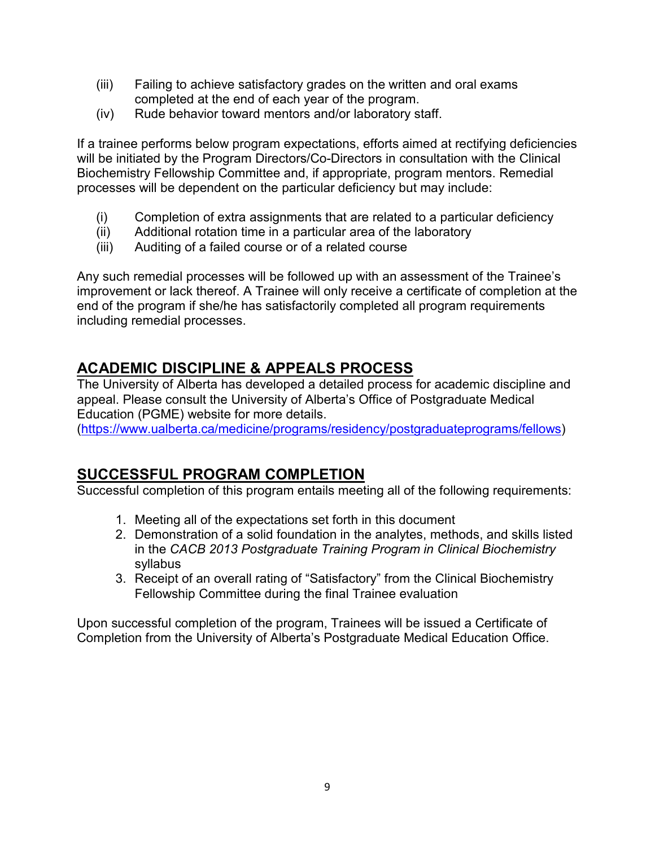- (iii) Failing to achieve satisfactory grades on the written and oral exams completed at the end of each year of the program.
- (iv) Rude behavior toward mentors and/or laboratory staff.

If a trainee performs below program expectations, efforts aimed at rectifying deficiencies will be initiated by the Program Directors/Co-Directors in consultation with the Clinical Biochemistry Fellowship Committee and, if appropriate, program mentors. Remedial processes will be dependent on the particular deficiency but may include:

- (i) Completion of extra assignments that are related to a particular deficiency
- (ii) Additional rotation time in a particular area of the laboratory
- (iii) Auditing of a failed course or of a related course

Any such remedial processes will be followed up with an assessment of the Trainee's improvement or lack thereof. A Trainee will only receive a certificate of completion at the end of the program if she/he has satisfactorily completed all program requirements including remedial processes.

# **ACADEMIC DISCIPLINE & APPEALS PROCESS**

The University of Alberta has developed a detailed process for academic discipline and appeal. Please consult the University of Alberta's Office of Postgraduate Medical Education (PGME) website for more details.

[\(https://www.ualberta.ca/medicine/programs/residency/postgraduateprograms/fellows\)](https://www.ualberta.ca/medicine/programs/residency/postgraduateprograms/fellows)

# **SUCCESSFUL PROGRAM COMPLETION**

Successful completion of this program entails meeting all of the following requirements:

- 1. Meeting all of the expectations set forth in this document
- 2. Demonstration of a solid foundation in the analytes, methods, and skills listed in the *CACB 2013 Postgraduate Training Program in Clinical Biochemistry* syllabus
- 3. Receipt of an overall rating of "Satisfactory" from the Clinical Biochemistry Fellowship Committee during the final Trainee evaluation

Upon successful completion of the program, Trainees will be issued a Certificate of Completion from the University of Alberta's Postgraduate Medical Education Office.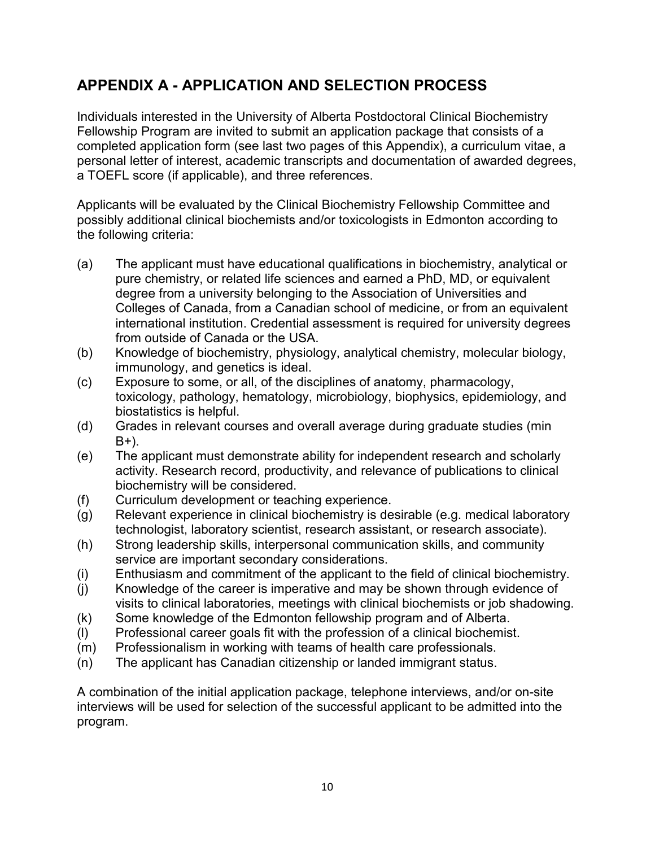# **APPENDIX A - APPLICATION AND SELECTION PROCESS**

Individuals interested in the University of Alberta Postdoctoral Clinical Biochemistry Fellowship Program are invited to submit an application package that consists of a completed application form (see last two pages of this Appendix), a curriculum vitae, a personal letter of interest, academic transcripts and documentation of awarded degrees, a TOEFL score (if applicable), and three references.

Applicants will be evaluated by the Clinical Biochemistry Fellowship Committee and possibly additional clinical biochemists and/or toxicologists in Edmonton according to the following criteria:

- (a) The applicant must have educational qualifications in biochemistry, analytical or pure chemistry, or related life sciences and earned a PhD, MD, or equivalent degree from a university belonging to the Association of Universities and Colleges of Canada, from a Canadian school of medicine, or from an equivalent international institution. Credential assessment is required for university degrees from outside of Canada or the USA.
- (b) Knowledge of biochemistry, physiology, analytical chemistry, molecular biology, immunology, and genetics is ideal.
- (c) Exposure to some, or all, of the disciplines of anatomy, pharmacology, toxicology, pathology, hematology, microbiology, biophysics, epidemiology, and biostatistics is helpful.
- (d) Grades in relevant courses and overall average during graduate studies (min B+).
- (e) The applicant must demonstrate ability for independent research and scholarly activity. Research record, productivity, and relevance of publications to clinical biochemistry will be considered.
- (f) Curriculum development or teaching experience.
- (g) Relevant experience in clinical biochemistry is desirable (e.g. medical laboratory technologist, laboratory scientist, research assistant, or research associate).
- (h) Strong leadership skills, interpersonal communication skills, and community service are important secondary considerations.
- (i) Enthusiasm and commitment of the applicant to the field of clinical biochemistry.
- (j) Knowledge of the career is imperative and may be shown through evidence of visits to clinical laboratories, meetings with clinical biochemists or job shadowing.
- (k) Some knowledge of the Edmonton fellowship program and of Alberta.
- (l) Professional career goals fit with the profession of a clinical biochemist.
- (m) Professionalism in working with teams of health care professionals.
- (n) The applicant has Canadian citizenship or landed immigrant status.

A combination of the initial application package, telephone interviews, and/or on-site interviews will be used for selection of the successful applicant to be admitted into the program.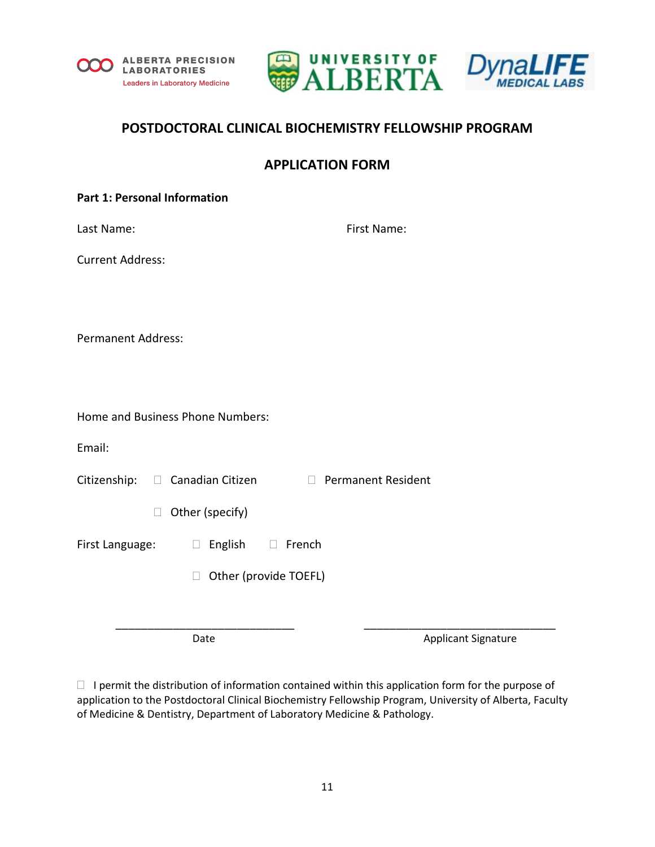





# **POSTDOCTORAL CLINICAL BIOCHEMISTRY FELLOWSHIP PROGRAM**

# **APPLICATION FORM**

#### **Part 1: Personal Information**

| Last Name: | First Name: |
|------------|-------------|
|            |             |

Current Address:

Permanent Address:

Email:

Citizenship:  $\Box$  Canadian Citizen  $\Box$  Permanent Resident

 $\Box$  Other (specify)

First Language:  $\Box$  English  $\Box$  French

□ Other (provide TOEFL)

Date **Applicant Signature** Applicant Signature

 $\Box$  I permit the distribution of information contained within this application form for the purpose of application to the Postdoctoral Clinical Biochemistry Fellowship Program, University of Alberta, Faculty of Medicine & Dentistry, Department of Laboratory Medicine & Pathology.

\_\_\_\_\_\_\_\_\_\_\_\_\_\_\_\_\_\_\_\_\_\_\_\_\_\_\_\_ \_\_\_\_\_\_\_\_\_\_\_\_\_\_\_\_\_\_\_\_\_\_\_\_\_\_\_\_\_\_